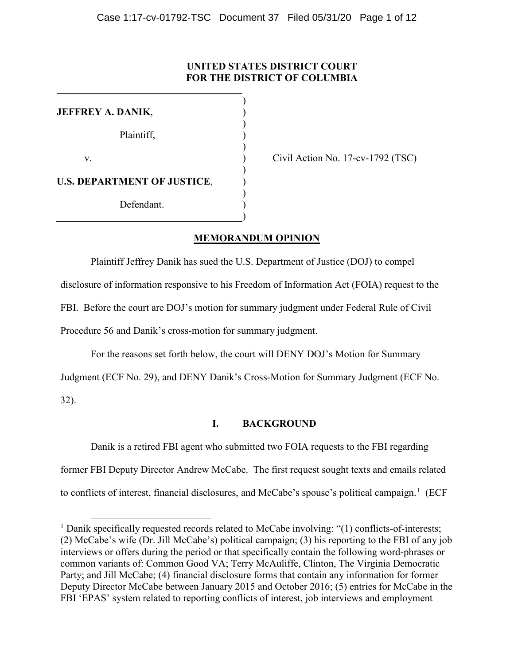## **UNITED STATES DISTRICT COURT FOR THE DISTRICT OF COLUMBIA**

| JEFFREY A. DANIK,                  |  |
|------------------------------------|--|
| Plaintiff,                         |  |
| V.                                 |  |
| <b>U.S. DEPARTMENT OF JUSTICE,</b> |  |
| Defendant.                         |  |
|                                    |  |

Civil Action No. 17-cv-1792 (TSC)

## **MEMORANDUM OPINION**

Plaintiff Jeffrey Danik has sued the U.S. Department of Justice (DOJ) to compel disclosure of information responsive to his Freedom of Information Act (FOIA) request to the FBI. Before the court are DOJ's motion for summary judgment under Federal Rule of Civil Procedure 56 and Danik's cross-motion for summary judgment.

For the reasons set forth below, the court will DENY DOJ's Motion for Summary

Judgment (ECF No. 29), and DENY Danik's Cross-Motion for Summary Judgment (ECF No.

32).

## **I. BACKGROUND**

Danik is a retired FBI agent who submitted two FOIA requests to the FBI regarding former FBI Deputy Director Andrew McCabe. The first request sought texts and emails related to conflicts of interest, financial disclosures, and McCabe's spouse's political campaign.<sup>[1](#page-0-0)</sup> (ECF

<span id="page-0-0"></span><sup>&</sup>lt;sup>1</sup> Danik specifically requested records related to McCabe involving: "(1) conflicts-of-interests; (2) McCabe's wife (Dr. Jill McCabe's) political campaign; (3) his reporting to the FBI of any job interviews or offers during the period or that specifically contain the following word-phrases or common variants of: Common Good VA; Terry McAuliffe, Clinton, The Virginia Democratic Party; and Jill McCabe; (4) financial disclosure forms that contain any information for former Deputy Director McCabe between January 2015 and October 2016; (5) entries for McCabe in the FBI 'EPAS' system related to reporting conflicts of interest, job interviews and employment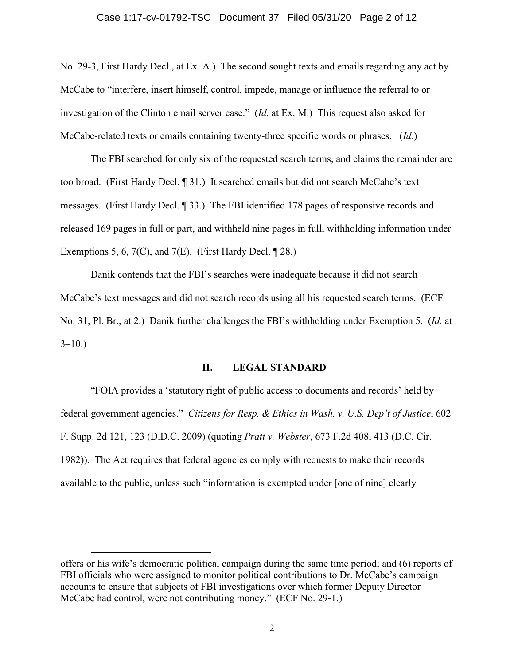#### Case 1:17-cv-01792-TSC Document 37 Filed 05/31/20 Page 2 of 12

No. 29-3, First Hardy Decl., at Ex. A.) The second sought texts and emails regarding any act by McCabe to "interfere, insert himself, control, impede, manage or influence the referral to or investigation of the Clinton email server case." (*Id.* at Ex. M.) This request also asked for McCabe-related texts or emails containing twenty-three specific words or phrases. (*Id.*)

The FBI searched for only six of the requested search terms, and claims the remainder are too broad. (First Hardy Decl. ¶ 31.) It searched emails but did not search McCabe's text messages. (First Hardy Decl. ¶ 33.) The FBI identified 178 pages of responsive records and released 169 pages in full or part, and withheld nine pages in full, withholding information under Exemptions 5, 6, 7(C), and 7(E). (First Hardy Decl.  $\P$  28.)

Danik contends that the FBI's searches were inadequate because it did not search McCabe's text messages and did not search records using all his requested search terms. (ECF No. 31, Pl. Br., at 2.) Danik further challenges the FBI's withholding under Exemption 5. (*Id.* at  $3-10.$ 

#### **II. LEGAL STANDARD**

"FOIA provides a 'statutory right of public access to documents and records' held by federal government agencies." *Citizens for Resp. & Ethics in Wash. v. U.S. Dep't of Justice*, 602 F. Supp. 2d 121, 123 (D.D.C. 2009) (quoting *Pratt v. Webster*, 673 F.2d 408, 413 (D.C. Cir. 1982)). The Act requires that federal agencies comply with requests to make their records available to the public, unless such "information is exempted under [one of nine] clearly

 $\overline{a}$ 

offers or his wife's democratic political campaign during the same time period; and (6) reports of FBI officials who were assigned to monitor political contributions to Dr. McCabe's campaign accounts to ensure that subjects of FBI investigations over which former Deputy Director McCabe had control, were not contributing money." (ECF No. 29-1.)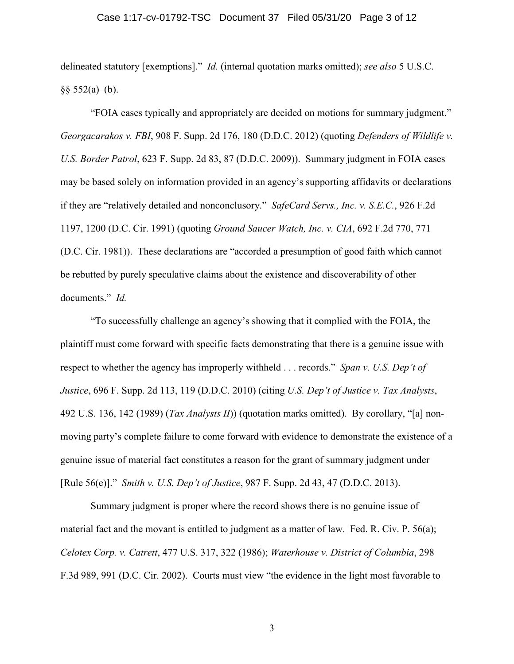#### Case 1:17-cv-01792-TSC Document 37 Filed 05/31/20 Page 3 of 12

delineated statutory [exemptions]." *Id.* (internal quotation marks omitted); *see also* 5 U.S.C.  $§$ § 552(a)–(b).

"FOIA cases typically and appropriately are decided on motions for summary judgment." *Georgacarakos v. FBI*, 908 F. Supp. 2d 176, 180 (D.D.C. 2012) (quoting *Defenders of Wildlife v. U.S. Border Patrol*, 623 F. Supp. 2d 83, 87 (D.D.C. 2009)). Summary judgment in FOIA cases may be based solely on information provided in an agency's supporting affidavits or declarations if they are "relatively detailed and nonconclusory." *SafeCard Servs., Inc. v. S.E.C.*, 926 F.2d 1197, 1200 (D.C. Cir. 1991) (quoting *Ground Saucer Watch, Inc. v. CIA*, 692 F.2d 770, 771 (D.C. Cir. 1981)). These declarations are "accorded a presumption of good faith which cannot be rebutted by purely speculative claims about the existence and discoverability of other documents." *Id.*

"To successfully challenge an agency's showing that it complied with the FOIA, the plaintiff must come forward with specific facts demonstrating that there is a genuine issue with respect to whether the agency has improperly withheld . . . records." *Span v. U.S. Dep't of Justice*, 696 F. Supp. 2d 113, 119 (D.D.C. 2010) (citing *U.S. Dep't of Justice v. Tax Analysts*, 492 U.S. 136, 142 (1989) (*Tax Analysts II*)) (quotation marks omitted). By corollary, "[a] nonmoving party's complete failure to come forward with evidence to demonstrate the existence of a genuine issue of material fact constitutes a reason for the grant of summary judgment under [Rule 56(e)]." *Smith v. U.S. Dep't of Justice*, 987 F. Supp. 2d 43, 47 (D.D.C. 2013).

Summary judgment is proper where the record shows there is no genuine issue of material fact and the movant is entitled to judgment as a matter of law. Fed. R. Civ. P. 56(a); *Celotex Corp. v. Catrett*, 477 U.S. 317, 322 (1986); *Waterhouse v. District of Columbia*, 298 F.3d 989, 991 (D.C. Cir. 2002). Courts must view "the evidence in the light most favorable to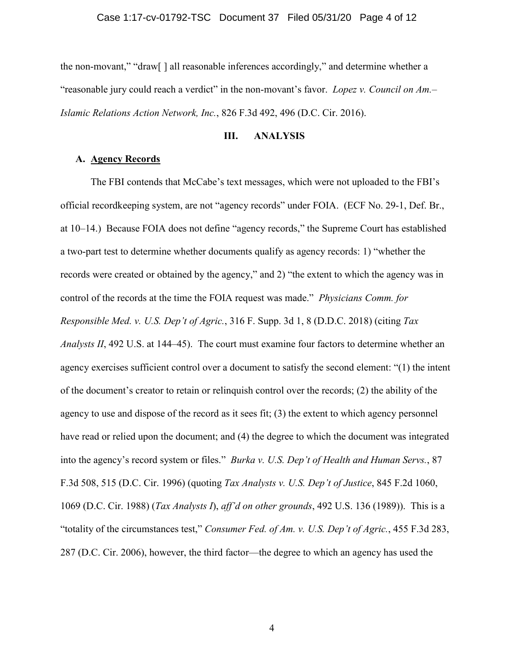the non-movant," "draw[ ] all reasonable inferences accordingly," and determine whether a "reasonable jury could reach a verdict" in the non-movant's favor. *Lopez v. Council on Am.– Islamic Relations Action Network, Inc.*, 826 F.3d 492, 496 (D.C. Cir. 2016).

### **III. ANALYSIS**

### **A. Agency Records**

The FBI contends that McCabe's text messages, which were not uploaded to the FBI's official recordkeeping system, are not "agency records" under FOIA. (ECF No. 29-1, Def. Br., at 10–14.) Because FOIA does not define "agency records," the Supreme Court has established a two-part test to determine whether documents qualify as agency records: 1) "whether the records were created or obtained by the agency," and 2) "the extent to which the agency was in control of the records at the time the FOIA request was made." *Physicians Comm. for Responsible Med. v. U.S. Dep't of Agric.*, 316 F. Supp. 3d 1, 8 (D.D.C. 2018) (citing *Tax Analysts II*, 492 U.S. at 144–45). The court must examine four factors to determine whether an agency exercises sufficient control over a document to satisfy the second element: "(1) the intent of the document's creator to retain or relinquish control over the records; (2) the ability of the agency to use and dispose of the record as it sees fit; (3) the extent to which agency personnel have read or relied upon the document; and (4) the degree to which the document was integrated into the agency's record system or files." *Burka v. U.S. Dep't of Health and Human Servs.*, 87 F.3d 508, 515 (D.C. Cir. 1996) (quoting *Tax Analysts v. U.S. Dep't of Justice*, 845 F.2d 1060, 1069 (D.C. Cir. 1988) (*Tax Analysts I*), *aff'd on other grounds*, 492 U.S. 136 (1989)). This is a "totality of the circumstances test," *Consumer Fed. of Am. v. U.S. Dep't of Agric.*, 455 F.3d 283, 287 (D.C. Cir. 2006), however, the third factor—the degree to which an agency has used the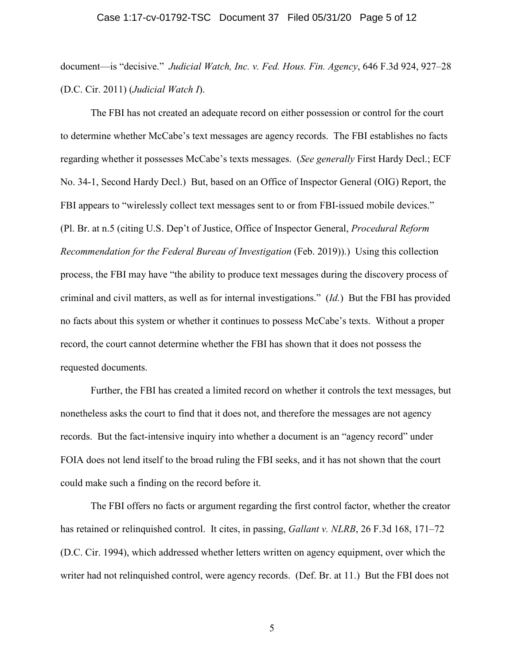#### Case 1:17-cv-01792-TSC Document 37 Filed 05/31/20 Page 5 of 12

document—is "decisive." *Judicial Watch, Inc. v. Fed. Hous. Fin. Agency*, 646 F.3d 924, 927–28 (D.C. Cir. 2011) (*Judicial Watch I*).

The FBI has not created an adequate record on either possession or control for the court to determine whether McCabe's text messages are agency records. The FBI establishes no facts regarding whether it possesses McCabe's texts messages. (*See generally* First Hardy Decl.; ECF No. 34-1, Second Hardy Decl.) But, based on an Office of Inspector General (OIG) Report, the FBI appears to "wirelessly collect text messages sent to or from FBI-issued mobile devices." (Pl. Br. at n.5 (citing U.S. Dep't of Justice, Office of Inspector General, *Procedural Reform Recommendation for the Federal Bureau of Investigation* (Feb. 2019)).) Using this collection process, the FBI may have "the ability to produce text messages during the discovery process of criminal and civil matters, as well as for internal investigations." (*Id.*) But the FBI has provided no facts about this system or whether it continues to possess McCabe's texts. Without a proper record, the court cannot determine whether the FBI has shown that it does not possess the requested documents.

Further, the FBI has created a limited record on whether it controls the text messages, but nonetheless asks the court to find that it does not, and therefore the messages are not agency records. But the fact-intensive inquiry into whether a document is an "agency record" under FOIA does not lend itself to the broad ruling the FBI seeks, and it has not shown that the court could make such a finding on the record before it.

The FBI offers no facts or argument regarding the first control factor, whether the creator has retained or relinquished control. It cites, in passing, *Gallant v. NLRB*, 26 F.3d 168, 171–72 (D.C. Cir. 1994), which addressed whether letters written on agency equipment, over which the writer had not relinquished control, were agency records. (Def. Br. at 11.) But the FBI does not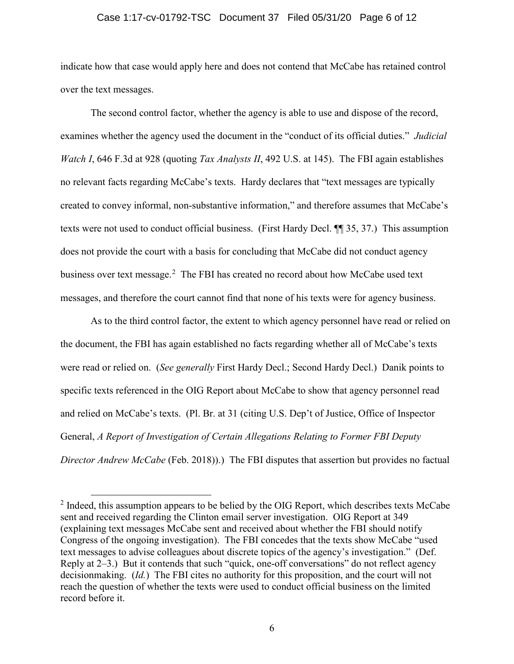#### Case 1:17-cv-01792-TSC Document 37 Filed 05/31/20 Page 6 of 12

indicate how that case would apply here and does not contend that McCabe has retained control over the text messages.

The second control factor, whether the agency is able to use and dispose of the record, examines whether the agency used the document in the "conduct of its official duties." *Judicial Watch I*, 646 F.3d at 928 (quoting *Tax Analysts II*, 492 U.S. at 145). The FBI again establishes no relevant facts regarding McCabe's texts. Hardy declares that "text messages are typically created to convey informal, non-substantive information," and therefore assumes that McCabe's texts were not used to conduct official business. (First Hardy Decl. ¶¶ 35, 37.) This assumption does not provide the court with a basis for concluding that McCabe did not conduct agency business over text message.<sup>[2](#page-5-0)</sup> The FBI has created no record about how McCabe used text messages, and therefore the court cannot find that none of his texts were for agency business.

As to the third control factor, the extent to which agency personnel have read or relied on the document, the FBI has again established no facts regarding whether all of McCabe's texts were read or relied on. (*See generally* First Hardy Decl.; Second Hardy Decl.) Danik points to specific texts referenced in the OIG Report about McCabe to show that agency personnel read and relied on McCabe's texts. (Pl. Br. at 31 (citing U.S. Dep't of Justice, Office of Inspector General, *A Report of Investigation of Certain Allegations Relating to Former FBI Deputy Director Andrew McCabe* (Feb. 2018)).) The FBI disputes that assertion but provides no factual

<span id="page-5-0"></span> $2$  Indeed, this assumption appears to be belied by the OIG Report, which describes texts McCabe sent and received regarding the Clinton email server investigation. OIG Report at 349 (explaining text messages McCabe sent and received about whether the FBI should notify Congress of the ongoing investigation). The FBI concedes that the texts show McCabe "used text messages to advise colleagues about discrete topics of the agency's investigation." (Def. Reply at 2–3.) But it contends that such "quick, one-off conversations" do not reflect agency decisionmaking. (*Id.*) The FBI cites no authority for this proposition, and the court will not reach the question of whether the texts were used to conduct official business on the limited record before it.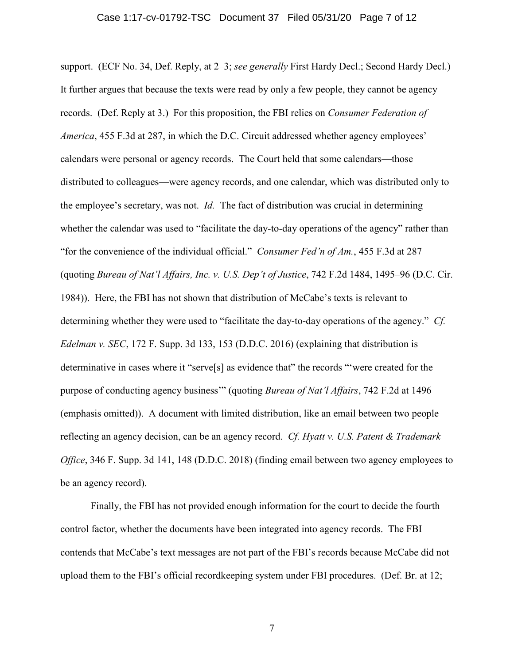support. (ECF No. 34, Def. Reply, at 2–3; *see generally* First Hardy Decl.; Second Hardy Decl.) It further argues that because the texts were read by only a few people, they cannot be agency records. (Def. Reply at 3.) For this proposition, the FBI relies on *Consumer Federation of America*, 455 F.3d at 287, in which the D.C. Circuit addressed whether agency employees' calendars were personal or agency records. The Court held that some calendars—those distributed to colleagues—were agency records, and one calendar, which was distributed only to the employee's secretary, was not. *Id.* The fact of distribution was crucial in determining whether the calendar was used to "facilitate the day-to-day operations of the agency" rather than "for the convenience of the individual official." *Consumer Fed'n of Am.*, 455 F.3d at 287 (quoting *Bureau of Nat'l Affairs, Inc. v. U.S. Dep't of Justice*, 742 F.2d 1484, 1495–96 (D.C. Cir. 1984)). Here, the FBI has not shown that distribution of McCabe's texts is relevant to determining whether they were used to "facilitate the day-to-day operations of the agency." *Cf. Edelman v. SEC*, 172 F. Supp. 3d 133, 153 (D.D.C. 2016) (explaining that distribution is determinative in cases where it "serve[s] as evidence that" the records "'were created for the purpose of conducting agency business'" (quoting *Bureau of Nat'l Affairs*, 742 F.2d at 1496 (emphasis omitted)). A document with limited distribution, like an email between two people reflecting an agency decision, can be an agency record. *Cf. Hyatt v. U.S. Patent & Trademark Office*, 346 F. Supp. 3d 141, 148 (D.D.C. 2018) (finding email between two agency employees to be an agency record).

Finally, the FBI has not provided enough information for the court to decide the fourth control factor, whether the documents have been integrated into agency records. The FBI contends that McCabe's text messages are not part of the FBI's records because McCabe did not upload them to the FBI's official recordkeeping system under FBI procedures. (Def. Br. at 12;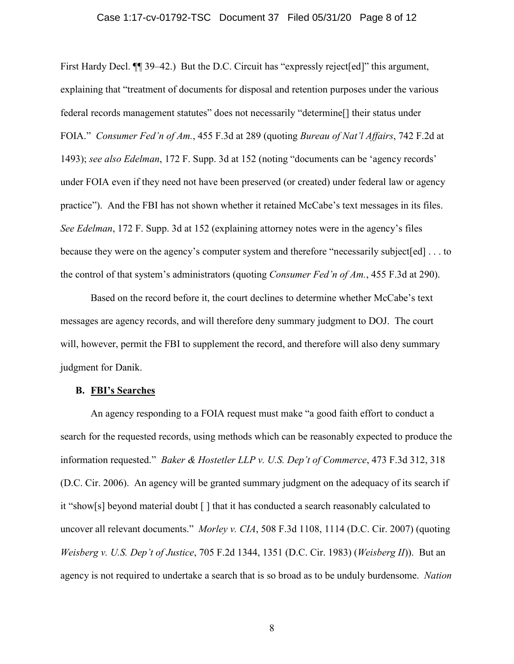#### Case 1:17-cv-01792-TSC Document 37 Filed 05/31/20 Page 8 of 12

First Hardy Decl.  $\P$  39–42.) But the D.C. Circuit has "expressly reject [ed]" this argument, explaining that "treatment of documents for disposal and retention purposes under the various federal records management statutes" does not necessarily "determine[] their status under FOIA." *Consumer Fed'n of Am.*, 455 F.3d at 289 (quoting *Bureau of Nat'l Affairs*, 742 F.2d at 1493); *see also Edelman*, 172 F. Supp. 3d at 152 (noting "documents can be 'agency records' under FOIA even if they need not have been preserved (or created) under federal law or agency practice"). And the FBI has not shown whether it retained McCabe's text messages in its files. *See Edelman*, 172 F. Supp. 3d at 152 (explaining attorney notes were in the agency's files because they were on the agency's computer system and therefore "necessarily subject[ed] . . . to the control of that system's administrators (quoting *Consumer Fed'n of Am.*, 455 F.3d at 290).

Based on the record before it, the court declines to determine whether McCabe's text messages are agency records, and will therefore deny summary judgment to DOJ. The court will, however, permit the FBI to supplement the record, and therefore will also deny summary judgment for Danik.

### **B. FBI's Searches**

An agency responding to a FOIA request must make "a good faith effort to conduct a search for the requested records, using methods which can be reasonably expected to produce the information requested." *Baker & Hostetler LLP v. U.S. Dep't of Commerce*, 473 F.3d 312, 318 (D.C. Cir. 2006). An agency will be granted summary judgment on the adequacy of its search if it "show[s] beyond material doubt [ ] that it has conducted a search reasonably calculated to uncover all relevant documents." *Morley v. CIA*, 508 F.3d 1108, 1114 (D.C. Cir. 2007) (quoting *Weisberg v. U.S. Dep't of Justice*, 705 F.2d 1344, 1351 (D.C. Cir. 1983) (*Weisberg II*)). But an agency is not required to undertake a search that is so broad as to be unduly burdensome. *Nation*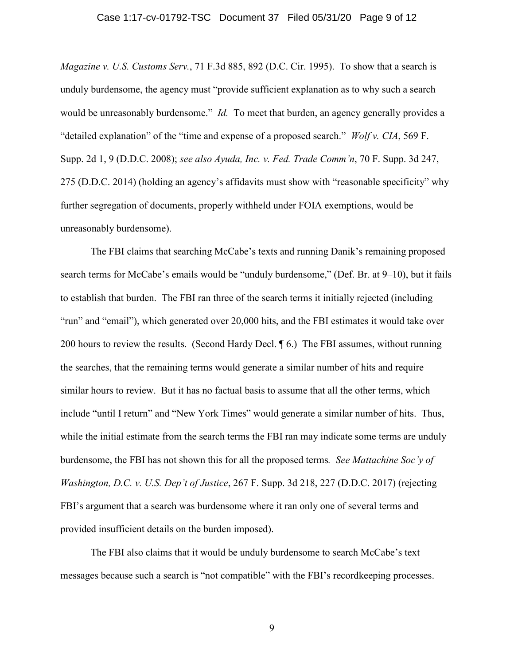#### Case 1:17-cv-01792-TSC Document 37 Filed 05/31/20 Page 9 of 12

*Magazine v. U.S. Customs Serv.*, 71 F.3d 885, 892 (D.C. Cir. 1995). To show that a search is unduly burdensome, the agency must "provide sufficient explanation as to why such a search would be unreasonably burdensome." *Id.* To meet that burden, an agency generally provides a "detailed explanation" of the "time and expense of a proposed search." *Wolf v. CIA*, 569 F. Supp. 2d 1, 9 (D.D.C. 2008); *see also Ayuda, Inc. v. Fed. Trade Comm'n*, 70 F. Supp. 3d 247, 275 (D.D.C. 2014) (holding an agency's affidavits must show with "reasonable specificity" why further segregation of documents, properly withheld under FOIA exemptions, would be unreasonably burdensome).

The FBI claims that searching McCabe's texts and running Danik's remaining proposed search terms for McCabe's emails would be "unduly burdensome," (Def. Br. at 9–10), but it fails to establish that burden. The FBI ran three of the search terms it initially rejected (including "run" and "email"), which generated over 20,000 hits, and the FBI estimates it would take over 200 hours to review the results. (Second Hardy Decl. ¶ 6.) The FBI assumes, without running the searches, that the remaining terms would generate a similar number of hits and require similar hours to review. But it has no factual basis to assume that all the other terms, which include "until I return" and "New York Times" would generate a similar number of hits. Thus, while the initial estimate from the search terms the FBI ran may indicate some terms are unduly burdensome, the FBI has not shown this for all the proposed terms*. See Mattachine Soc'y of Washington, D.C. v. U.S. Dep't of Justice*, 267 F. Supp. 3d 218, 227 (D.D.C. 2017) (rejecting FBI's argument that a search was burdensome where it ran only one of several terms and provided insufficient details on the burden imposed).

The FBI also claims that it would be unduly burdensome to search McCabe's text messages because such a search is "not compatible" with the FBI's recordkeeping processes.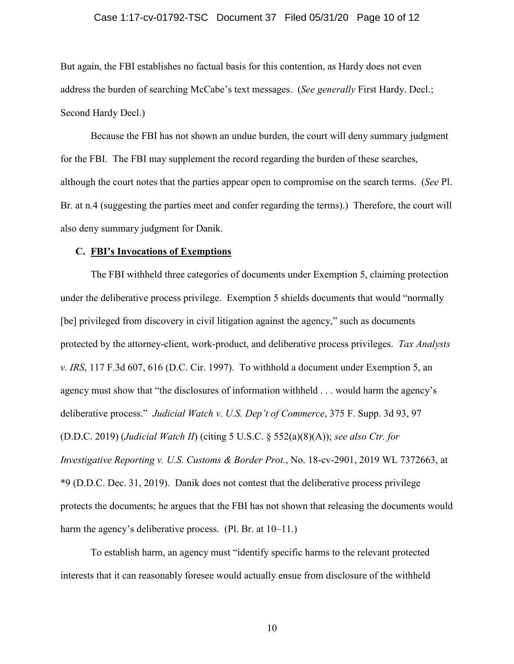#### Case 1:17-cv-01792-TSC Document 37 Filed 05/31/20 Page 10 of 12

But again, the FBI establishes no factual basis for this contention, as Hardy does not even address the burden of searching McCabe's text messages. (*See generally* First Hardy. Decl.; Second Hardy Decl.)

Because the FBI has not shown an undue burden, the court will deny summary judgment for the FBI. The FBI may supplement the record regarding the burden of these searches, although the court notes that the parties appear open to compromise on the search terms. (*See* Pl. Br. at n.4 (suggesting the parties meet and confer regarding the terms).) Therefore, the court will also deny summary judgment for Danik.

#### **C. FBI's Invocations of Exemptions**

The FBI withheld three categories of documents under Exemption 5, claiming protection under the deliberative process privilege. Exemption 5 shields documents that would "normally [be] privileged from discovery in civil litigation against the agency," such as documents protected by the attorney-client, work-product, and deliberative process privileges. *Tax Analysts v. IRS*, 117 F.3d 607, 616 (D.C. Cir. 1997). To withhold a document under Exemption 5, an agency must show that "the disclosures of information withheld . . . would harm the agency's deliberative process." *Judicial Watch v. U.S. Dep't of Commerce*, 375 F. Supp. 3d 93, 97 (D.D.C. 2019) (*Judicial Watch II*) (citing 5 U.S.C. § 552(a)(8)(A)); *see also Ctr. for Investigative Reporting v. U.S. Customs & Border Prot.*, No. 18-cv-2901, 2019 WL 7372663, at \*9 (D.D.C. Dec. 31, 2019). Danik does not contest that the deliberative process privilege protects the documents; he argues that the FBI has not shown that releasing the documents would harm the agency's deliberative process. (Pl. Br. at 10–11.)

To establish harm, an agency must "identify specific harms to the relevant protected interests that it can reasonably foresee would actually ensue from disclosure of the withheld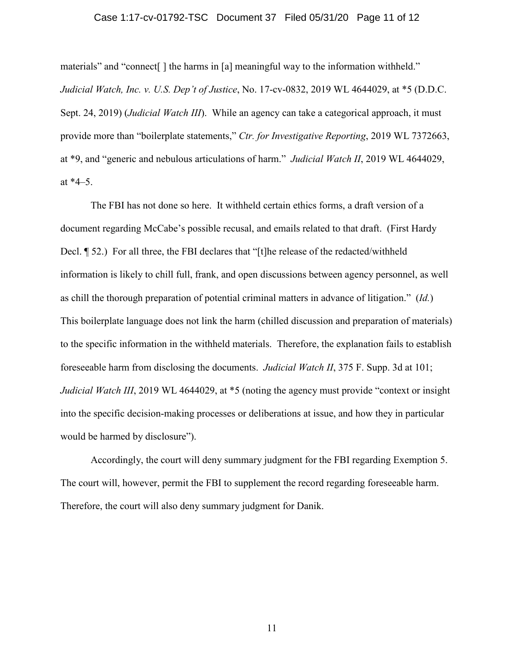#### Case 1:17-cv-01792-TSC Document 37 Filed 05/31/20 Page 11 of 12

materials" and "connect[ ] the harms in [a] meaningful way to the information withheld." *Judicial Watch, Inc. v. U.S. Dep't of Justice*, No. 17-cv-0832, 2019 WL 4644029, at \*5 (D.D.C. Sept. 24, 2019) (*Judicial Watch III*). While an agency can take a categorical approach, it must provide more than "boilerplate statements," *Ctr. for Investigative Reporting*, 2019 WL 7372663, at \*9, and "generic and nebulous articulations of harm." *Judicial Watch II*, 2019 WL 4644029, at  $*4-5$ .

The FBI has not done so here. It withheld certain ethics forms, a draft version of a document regarding McCabe's possible recusal, and emails related to that draft. (First Hardy Decl. ¶ 52.) For all three, the FBI declares that "[t]he release of the redacted/withheld information is likely to chill full, frank, and open discussions between agency personnel, as well as chill the thorough preparation of potential criminal matters in advance of litigation." (*Id.*) This boilerplate language does not link the harm (chilled discussion and preparation of materials) to the specific information in the withheld materials. Therefore, the explanation fails to establish foreseeable harm from disclosing the documents. *Judicial Watch II*, 375 F. Supp. 3d at 101; *Judicial Watch III*, 2019 WL 4644029, at  $*5$  (noting the agency must provide "context or insight into the specific decision-making processes or deliberations at issue, and how they in particular would be harmed by disclosure").

Accordingly, the court will deny summary judgment for the FBI regarding Exemption 5. The court will, however, permit the FBI to supplement the record regarding foreseeable harm. Therefore, the court will also deny summary judgment for Danik.